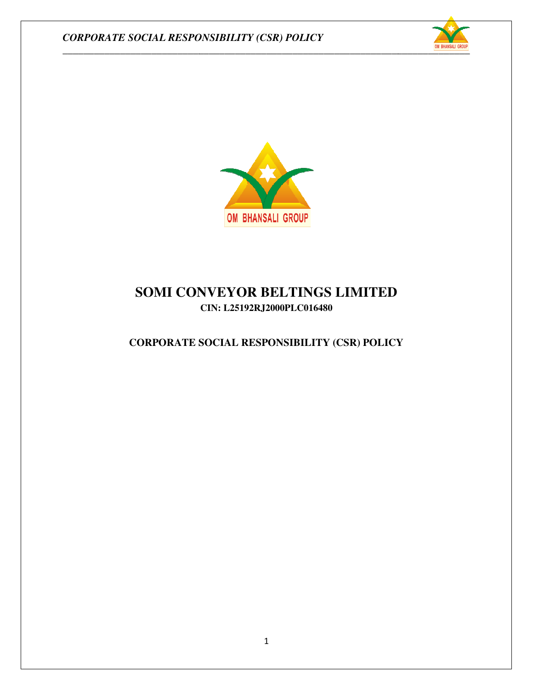



# **SOMI CONVEYOR BELTINGS LIMITED SOMI LIMITED CIN: L25192RJ2000PLC016480**

## **CORPORATE SOCIAL RESPONSIBILITY (CSR) POLICY**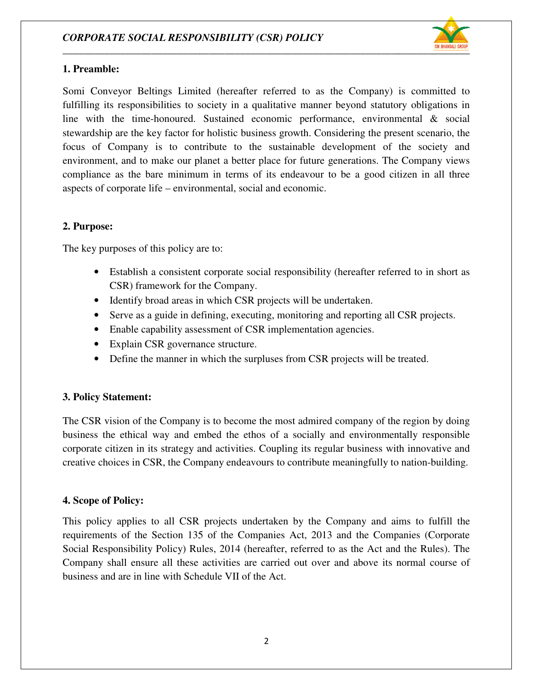

#### **1. Preamble:**

Somi Conveyor Beltings Limited (hereafter referred to as the Company) is committed to fulfilling its responsibilities to society in a qualitative manner beyond statutory obligations in line with the time-honoured. Sustained economic performance, environmental & social stewardship are the key factor for holistic business growth. Considering the present scenario, the focus of Company is to contribute to the sustainable development of the society and environment, and to make our planet a better place for future generations. The Company views compliance as the bare minimum in terms of its endeavour to be a good citizen in all three aspects of corporate life – environmental, social and economic. esponsibilities to society in a qualitative manner beyond statutory obligations<br>
a time-honoured. Sustained economic performance, environmental & society<br>
are the key factor for holistic business growth. Considering the pr Beltings Limited (hereafter referred to as the Company is committed to the Naturaly consistinties to society in a qualitative manner heyond statutory obligations in im-honoured. Sustained economic performance, environmenta

#### **2. Purpose:**

The key purposes of this policy are to:

- If purposes of this policy are to:<br>• Establish a consistent corporate social responsibility (hereafter referred to in short as CSR) framework for the Company. good citizen in all thing and the state of the state of the star.<br>The state of the state of the state of the state of the state of the state of the state of the state of the state of the state of the state of the state of
- Identify broad areas in which CSR projects will be undertaken CSR projects undertaken.
- Serve as a guide in defining, executing, monitoring and reporting all CSR projects.
- Serve as a guide in defining, executing, monitoring and reportin<br>• Enable capability assessment of CSR implementation agencies.
- Explain CSR governance structure.
- Define the manner in which the surpluses from CSR projects will be treated.

### **3. Policy Statement:**

The CSR vision of the Company is to become the most admired company of the region by doing business the ethical way and embed the ethos of a socially and environmentally responsible corporate citizen in its strategy and activities. Coupling its regular business with innovative and creative choices in CSR, the Company endeavours to contribute meaningfully to nation-building. from CSR projects will be treated.<br> **ent:**<br>
of the Company is to become the most admired company of the regior<br>
ical way and embed the ethos of a socially and environmentally re<br>
in its strategy and activities. Coupling it

### **4. Scope of Policy:**

This policy applies to all CSR projects undertaken by the Company and aims to fulfill the requirements of the Section 135 of the Companies Act, 2013 and the Companies (Corporate Social Responsibility Policy) Rules, 2014 (hereafter, referred to as the Act and the Rules). The Company shall ensure all these activities are carried out over and above its normal course of business and are in line with Schedule VII of the Act.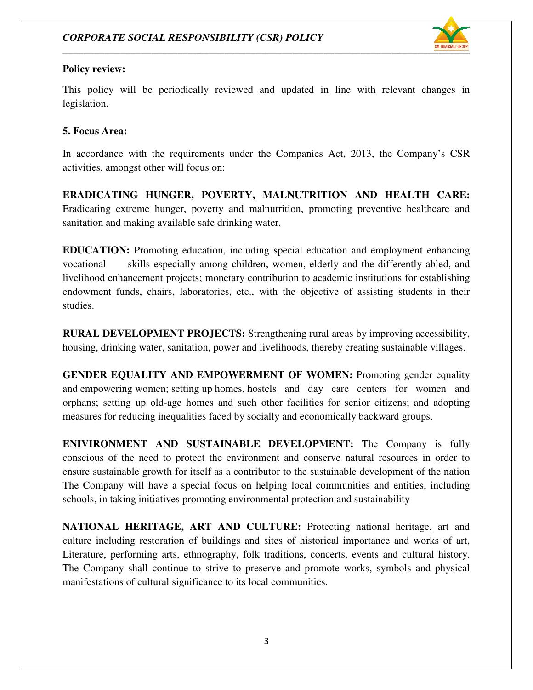

### **Policy review:**

This policy will be periodically reviewed and updated in line with relevant changes in legislation.

### **5. Focus Area:**

In accordance with the requirements under the Companies Act, 2013, the Company's CSR activities, amongst other will focus on: activities, amongst other will focus on:

**ERADICATING HUNGER, POVERTY, POVERTY, MALNUTRITION AND HEALTH** Eradicating extreme hunger, poverty and malnutrition, promoting preventive healthcare and sanitation and making available safe drinking water.

**EDUCATION:** Promoting education, including special education and employment vocational skills especially among children, women, elderly and the differently abled, and livelihood enhancement projects; monetary contribution to academic institutions for establishing endowment funds, chairs, laboratories, etc., with the objective of assisting students in their studies. reme hunger, poverty and malnutrition, promoting preventive healthcare and<br>naking available safe drinking water.<br>The original education and employment enhancing<br>skills especially among children, women, elderly and the diff **EATING HUNGER, POVERTY, MALNUTRITION AND HEALTH CARE:**<br>ing externe hanger, poverty and malnutrition, promoting preventive healthcare and<br>mand making available safe drinking water.<br> **ATION:** Promoting clucation, including employment enhancing

**RURAL DEVELOPMENT PROJECTS:** Strengthening rural areas by improving accessibility, housing, drinking water, sanitation, power and livelihoods, thereby creating sustainable villages.

**GENDER EQUALITY AND EMPOWERMENT OF WOMEN:** Promoting gender equality and empowering women; setting up homes, hostels and day care centers for women and orphans; setting up old-age homes and such other facilities for senior citizens; and adopting measures for reducing inequalities faced by socially and economically backward groups. realing rural areas by improving acce<br>hoods, thereby creating sustainable v<br>**COF WOMEN:** Promoting gender<br>and day care centers for won<br>facilities for senior citizens; and<br>and economically backward groups.

**ENIVIRONMENT AND SUSTAINABLE DEVELOPMENT:** The Company is fully conscious of the need to protect the environment and conserve natural resources in order to conscious of the need to protect the environment and conserve natural resources in order to ensure sustainable growth for itself as a contributor to the sustainable development of the nation The Company will have a special focus on helping local communities and entities, including schools, in taking initiatives promoting environmental protection and sustainability

NATIONAL HERITAGE, ART AND CULTURE: Protecting national heritage, art and culture including restoration of buildings and sites of historical importance and works of art, Literature, performing arts, ethnography, folk traditions, concerts, events and cultural history. The Company shall continue to strive to preserve and promote works, symbols and physical manifestations of cultural significance to its local communities. for itself as a contributor to the sustainable development of<br>a special focus on helping local communities and entities,<br>se promoting environmental protection and sustainability<br>**E, ART AND CULTURE:** Protecting national he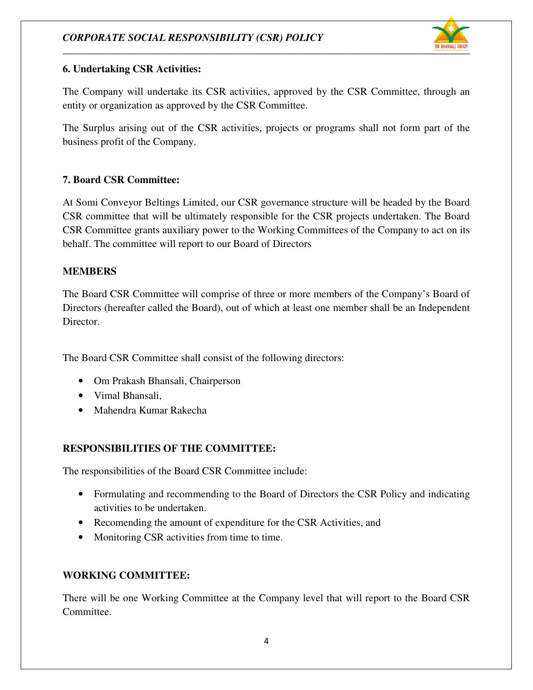### *CORPORATE SOCIAL RESPONSIBILITY (CSR) POLICY SOCIAL RESPONSIBILITY (CSR) POLICY*



#### **6. Undertaking CSR Activities: . Undertaking CSR Activities:**

The Company will undertake its CSR activities, approved by the CSR Committee, through an entity or organization as approved by the CSR Committee.

The Surplus arising out of the CSR activities, projects or programs shall not form part of the business profit of the Company. is will undertake its CSR activities, approved by the CSR Committee, through an inization as approved by the CSR Committee.<br>arising out of the CSR activities, projects or programs shall not form part of the it of the Compa

### **7. Board CSR Committee:**

At Somi Conveyor Beltings Limited, our CSR governance structure will be headed by the Board CSR committee that will be ultimately responsible for the CSR projects undertaken. The Board CSR Committee grants auxiliary power to the Working Committees of the Company to act on its behalf. The committee will report to our Board of Directors eyor Beltings Limited, our CSR governance structure will be headed by the<br>et that will be ultimately responsible for the CSR projects undertaken. The<br>ce grants auxiliary power to the Working Committees of the Company to ac

### **MEMBERS**

The Board CSR Committee will comprise of three or more members of the Company's Board of Directors (hereafter called the Board), out of which at least one member shall be an Independent Director. intee grants auxiliary power to the Working Committees of the Company to act on<br>committee will report to our Board of Directors<br>S<br>CSR Committee will comprise of three or more members of the Company's Board<br>nereafter called

The Board CSR Committee shall consist of the following directors:

- Om Prakash Bhansali, Chairperson
- Vimal Bhansali,
- Mahendra Kumar Rakecha

### **RESPONSIBILITIES OF THE COMMITTEE:**

• Mahendra Kumar Rakecha<br>
RESPONSIBILITIES OF THE COMMITTEE:<br>
The responsibilities of the Board CSR Committee include:

- Formulating and recommending to the Board of Directors the CSR Policy and indicating activities to be undertaken.
- Recomending the amount of expenditure for the CSR Activities, and Recomending the CSR Activities, and
- Monitoring CSR activities from time to time.

### **WORKING COMMITTEE:**

There will be one Working Committee at the Company level that will report to the Board CSR Committee.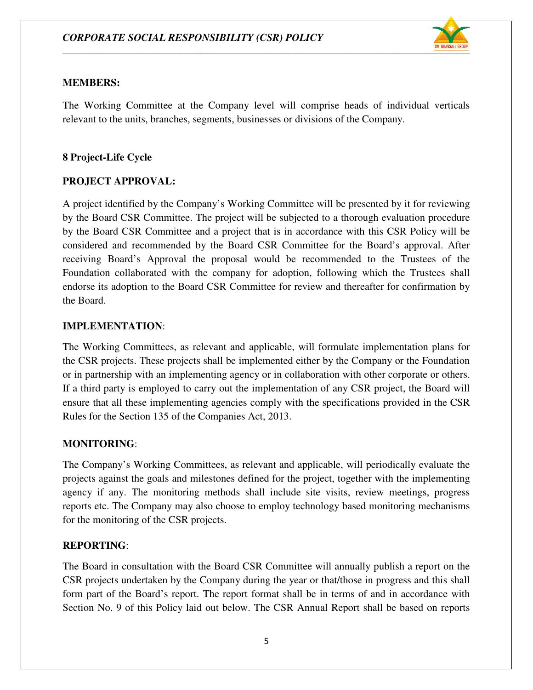

#### **MEMBERS:**

The Working Committee at the Company level will comprise heads of individual verticals relevant to the units, branches, segments, businesses or divisions of the Company.

### **8 Project-Life Cycle**

### **PROJECT APPROVAL:**

A project identified by the Company Company's Working Committee will be presented by it for reviewing by the Board CSR Committee. The project will be subjected to a thorough evaluation procedure by the Board CSR Committee and a project that is in accordance with this CSR Policy will be considered and recommended by the Board CSR Committee for the Board's approval. receiving Board's Approval the proposal would be recommended to the Trustees of the Foundation collaborated with the company for adoption, following which the Trustees shall endorse its adoption to the Board CSR Committee for review and thereafter for confirmation by<br>the Board.<br>**IMPLEMENTATION**:<br>The Working Committees, as relevant and applicable, will formulate implementation plans for the Board. the Board CSR Committee. The project will be subjected to a thorough evaluation proc<br>the Board CSR Committee and a project that is in accordance with this CSR Policy w<br>sidered and recommended by the Board CSR Committee for presented by it for reviewing<br>orough evaluation procedure<br>with this CSR Policy will be<br>the Board's approval. After

### **IMPLEMENTATION**:

The Working Committees, as relevant and applicable, will formulate implementation plans for the CSR projects. These projects shall be implemented either by the Company or the Foundation The Working Committees, as relevant and applicable, will formulate implementation plans for the CSR projects. These projects shall be implemented either by the Company or the Foundation or in partnership with an implementi If a third party is employed to carry out the implementation of any CSR project, the Board will If a third party is employed to carry out the implementation of any CSR project, the Board will ensure that all these implementing agencies comply with the specifications provided in the CSR Rules for the Section 135 of the Companies Act, 2013.

### **MONITORING**:

The Company's Working Committees, as relevant and applicable, will periodically evaluate the projects against the goals and milestones defined for the project, together with the implementing The Company's Working Committees, as relevant and applicable, will periodically evaluate the projects against the goals and milestones defined for the project, together with the implementing agency if any. The monitoring m reports etc. The Company may also choose to employ technology based monitoring mechanisms for the monitoring of the CSR projects. for the monitoring of the CSR projects.

### **REPORTING**:

The Board in consultation with the Board CSR Committee will annually publish a report on the CSR projects undertaken by the Company during the year or that/those in progress and this shall form part of the Board's report. The report format shall be in terms of and in accordance with The Board in consultation with the Board CSR Committee will annually publish a report on the CSR projects undertaken by the Company during the year or that/those in progress and this shall form part of the Board's report.